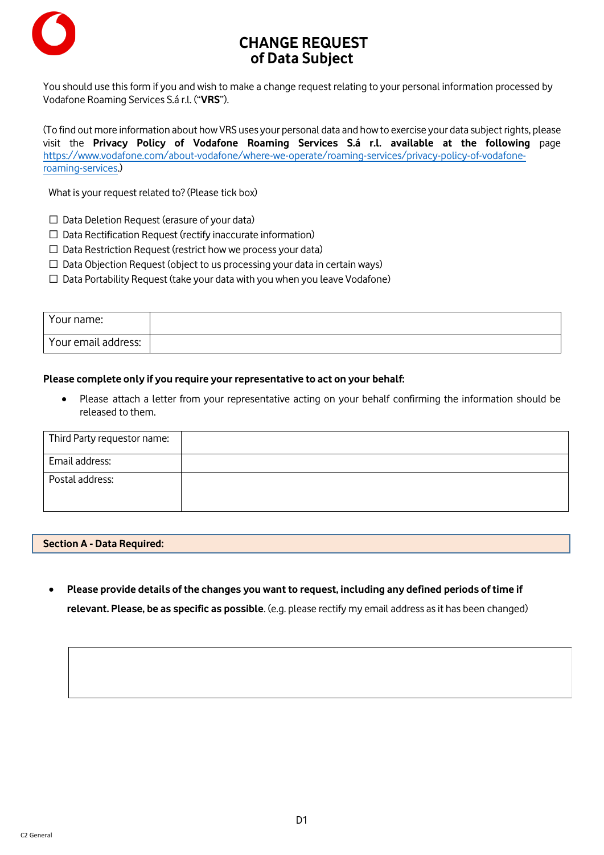

# **CHANGE REQUEST of Data Subject**

You should use this form if you and wish to make a change request relating to your personal information processed by Vodafone Roaming Services S.á r.l. ("**VRS**").

(To find out more information about how VRS uses your personal data and how to exercise your data subject rights, please visit the **Privacy Policy of Vodafone Roaming Services S.á r.l. available at the following** page [https://www.vodafone.com/about-vodafone/where-we-operate/roaming-services/privacy-policy-of-vodafone](https://www.vodafone.com/about-vodafone/where-we-operate/roaming-services/privacy-policy-of-vodafone-roaming-services)[roaming-services.\)](https://www.vodafone.com/about-vodafone/where-we-operate/roaming-services/privacy-policy-of-vodafone-roaming-services)

What is your request related to? (Please tick box)

- $\Box$  Data Deletion Request (erasure of your data)
- ☐ Data Rectification Request (rectify inaccurate information)
- ☐ Data Restriction Request (restrict how we process your data)
- $\Box$  Data Objection Request (object to us processing your data in certain ways)
- $\Box$  Data Portability Request (take your data with you when you leave Vodafone)

| Your name:          |  |
|---------------------|--|
| Your email address: |  |

## **Please complete only if you require your representative to act on your behalf:**

• Please attach a letter from your representative acting on your behalf confirming the information should be released to them.

| Third Party requestor name: |  |
|-----------------------------|--|
| Email address:              |  |
| Postal address:             |  |

#### **Section A - Data Required:**

• **Please provide details of the changes you want to request, including any defined periods of time if relevant. Please, be as specific as possible**. (e.g. please rectify my email address as it has been changed)